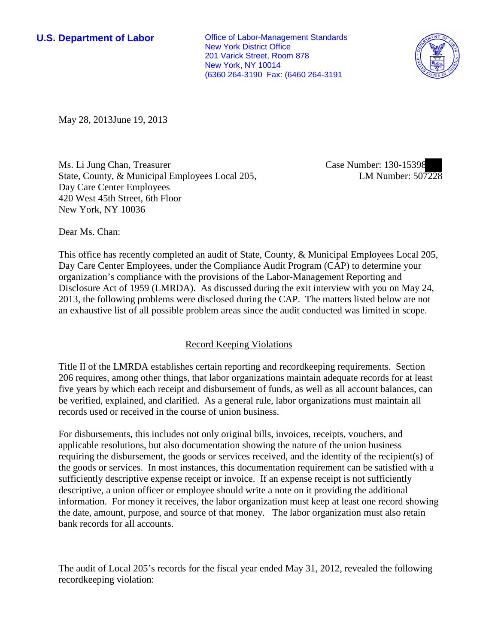**U.S. Department of Labor Office of Labor-Management Standards** New York District Office 201 Varick Street, Room 878 New York, NY 10014 (6360 264-3190 Fax: (6460 264-3191



May 28, 2013June 19, 2013

Ms. Li Jung Chan, Treasurer State, County, & Municipal Employees Local 205, Day Care Center Employees 420 West 45th Street, 6th Floor New York, NY 10036

Case Number: 130-15398 LM Number: 507228

Dear Ms. Chan:

This office has recently completed an audit of State, County, & Municipal Employees Local 205, Day Care Center Employees, under the Compliance Audit Program (CAP) to determine your organization's compliance with the provisions of the Labor-Management Reporting and Disclosure Act of 1959 (LMRDA). As discussed during the exit interview with you on May 24, 2013, the following problems were disclosed during the CAP. The matters listed below are not an exhaustive list of all possible problem areas since the audit conducted was limited in scope.

## Record Keeping Violations

Title II of the LMRDA establishes certain reporting and recordkeeping requirements. Section 206 requires, among other things, that labor organizations maintain adequate records for at least five years by which each receipt and disbursement of funds, as well as all account balances, can be verified, explained, and clarified. As a general rule, labor organizations must maintain all records used or received in the course of union business.

For disbursements, this includes not only original bills, invoices, receipts, vouchers, and applicable resolutions, but also documentation showing the nature of the union business requiring the disbursement, the goods or services received, and the identity of the recipient(s) of the goods or services. In most instances, this documentation requirement can be satisfied with a sufficiently descriptive expense receipt or invoice. If an expense receipt is not sufficiently descriptive, a union officer or employee should write a note on it providing the additional information. For money it receives, the labor organization must keep at least one record showing the date, amount, purpose, and source of that money. The labor organization must also retain bank records for all accounts.

The audit of Local 205's records for the fiscal year ended May 31, 2012, revealed the following recordkeeping violation: